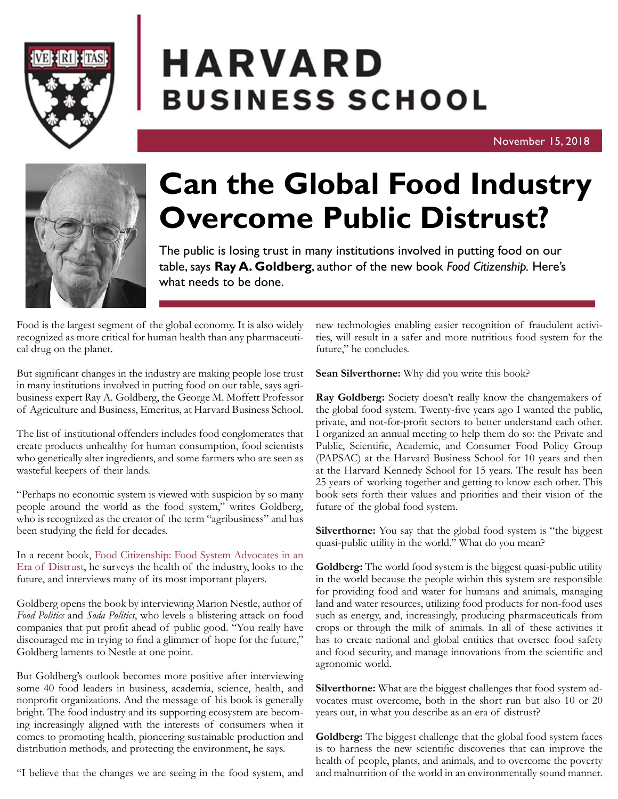

## HARVARD **BUSINESS SCHOOL**

November 15, 2018



## **Can the Global Food Industry Overcome Public Distrust?**

The public is losing trust in many institutions involved in putting food on our table, says **Ray A. Goldberg**, author of the new book *Food Citizenship.* Here's what needs to be done.

Food is the largest segment of the global economy. It is also widely recognized as more critical for human health than any pharmaceutical drug on the planet.

But significant changes in the industry are making people lose trust in many institutions involved in putting food on our table, says agribusiness expert Ray A. Goldberg, the George M. Moffett Professor of Agriculture and Business, Emeritus, at Harvard Business School.

The list of institutional offenders includes food conglomerates that create products unhealthy for human consumption, food scientists who genetically alter ingredients, and some farmers who are seen as wasteful keepers of their lands.

"Perhaps no economic system is viewed with suspicion by so many people around the world as the food system," writes Goldberg, who is recognized as the creator of the term "agribusiness" and has been studying the field for decades.

In a recent book, Food Citizenship: Food System Advocates in an Era of Distrust, he surveys the health of the industry, looks to the future, and interviews many of its most important players.

Goldberg opens the book by interviewing Marion Nestle, author of *Food Politics* and *Soda Politics*, who levels a blistering attack on food companies that put profit ahead of public good. "You really have discouraged me in trying to find a glimmer of hope for the future," Goldberg laments to Nestle at one point.

But Goldberg's outlook becomes more positive after interviewing some 40 food leaders in business, academia, science, health, and nonprofit organizations. And the message of his book is generally bright. The food industry and its supporting ecosystem are becoming increasingly aligned with the interests of consumers when it comes to promoting health, pioneering sustainable production and distribution methods, and protecting the environment, he says.

"I believe that the changes we are seeing in the food system, and

new technologies enabling easier recognition of fraudulent activities, will result in a safer and more nutritious food system for the future," he concludes.

**Sean Silverthorne:** Why did you write this book?

**Ray Goldberg:** Society doesn't really know the changemakers of the global food system. Twenty-five years ago I wanted the public, private, and not-for-profit sectors to better understand each other. I organized an annual meeting to help them do so: the Private and Public, Scientific, Academic, and Consumer Food Policy Group (PAPSAC) at the Harvard Business School for 10 years and then at the Harvard Kennedy School for 15 years. The result has been 25 years of working together and getting to know each other. This book sets forth their values and priorities and their vision of the future of the global food system.

**Silverthorne:** You say that the global food system is "the biggest quasi-public utility in the world." What do you mean?

**Goldberg:** The world food system is the biggest quasi-public utility in the world because the people within this system are responsible for providing food and water for humans and animals, managing land and water resources, utilizing food products for non-food uses such as energy, and, increasingly, producing pharmaceuticals from crops or through the milk of animals. In all of these activities it has to create national and global entities that oversee food safety and food security, and manage innovations from the scientific and agronomic world.

**Silverthorne:** What are the biggest challenges that food system advocates must overcome, both in the short run but also 10 or 20 years out, in what you describe as an era of distrust?

**Goldberg:** The biggest challenge that the global food system faces is to harness the new scientific discoveries that can improve the health of people, plants, and animals, and to overcome the poverty and malnutrition of the world in an environmentally sound manner.